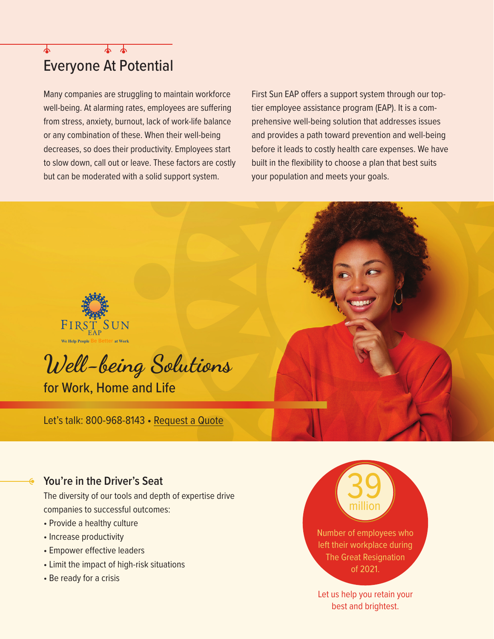# Everyone At Potential

Many companies are struggling to maintain workforce well-being. At alarming rates, employees are suffering from stress, anxiety, burnout, lack of work-life balance or any combination of these. When their well-being decreases, so does their productivity. Employees start to slow down, call out or leave. These factors are costly but can be moderated with a solid support system.

First Sun EAP offers a support system through our toptier employee assistance program (EAP). It is a comprehensive well-being solution that addresses issues and provides a path toward prevention and well-being before it leads to costly health care expenses. We have built in the flexibility to choose a plan that best suits your population and meets your goals.



### **You're in the Driver's Seat**

The diversity of our tools and depth of expertise drive companies to successful outcomes:

- Provide a healthy culture
- Increase productivity
- Empower effective leaders
- Limit the impact of high-risk situations
- Be ready for a crisis

million Number of employees who left their workplace during The Great Resignation of 2021.

39

Let us help you retain your best and brightest.